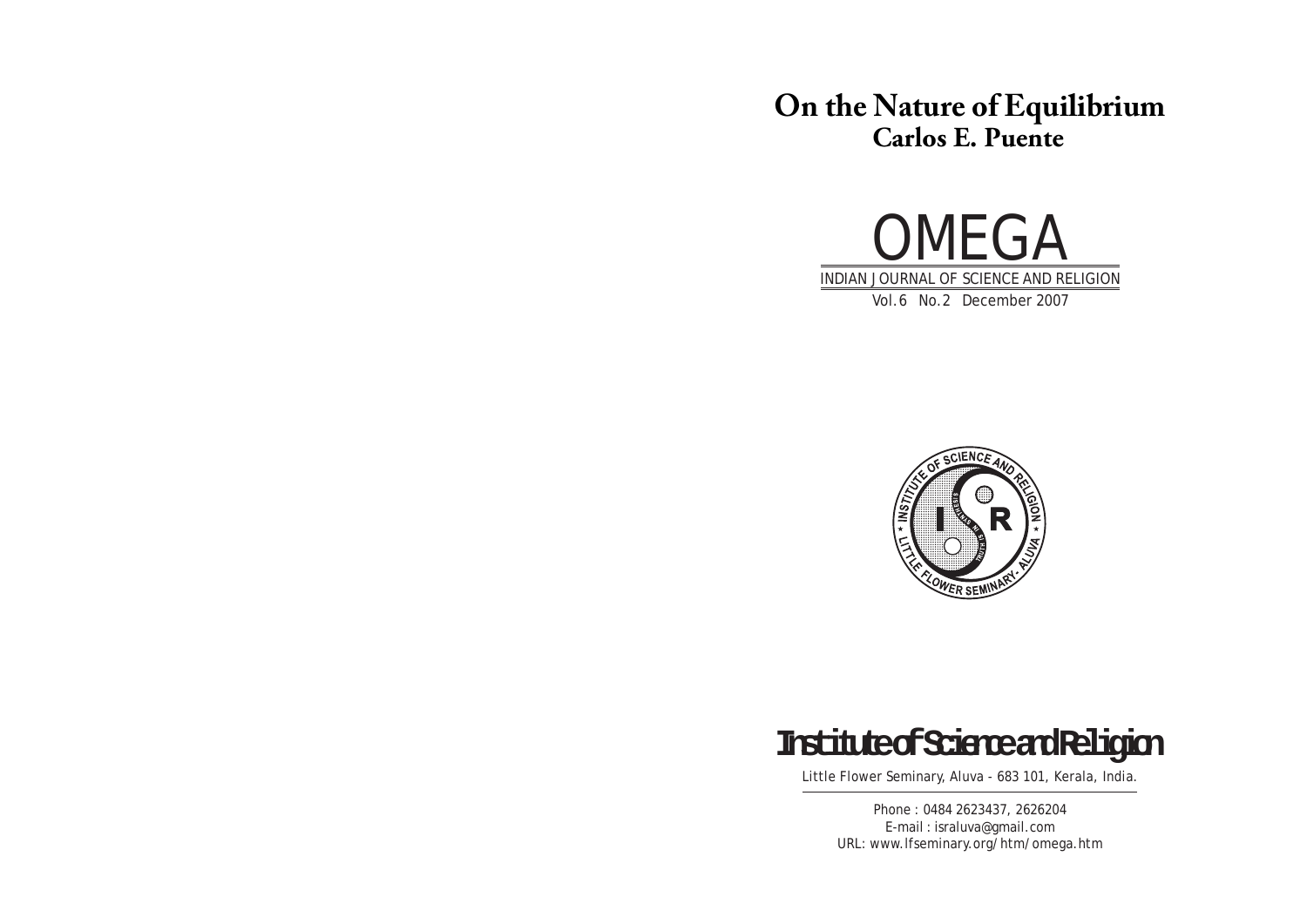# **On the Nature of Equilibrium Carlos E. Puente**







Little Flower Seminary, Aluva - 683 101, Kerala, India.

Phone : 0484 2623437, 2626204 E-mail : israluva@gmail.com URL: www.lfseminary.org/htm/omega.htm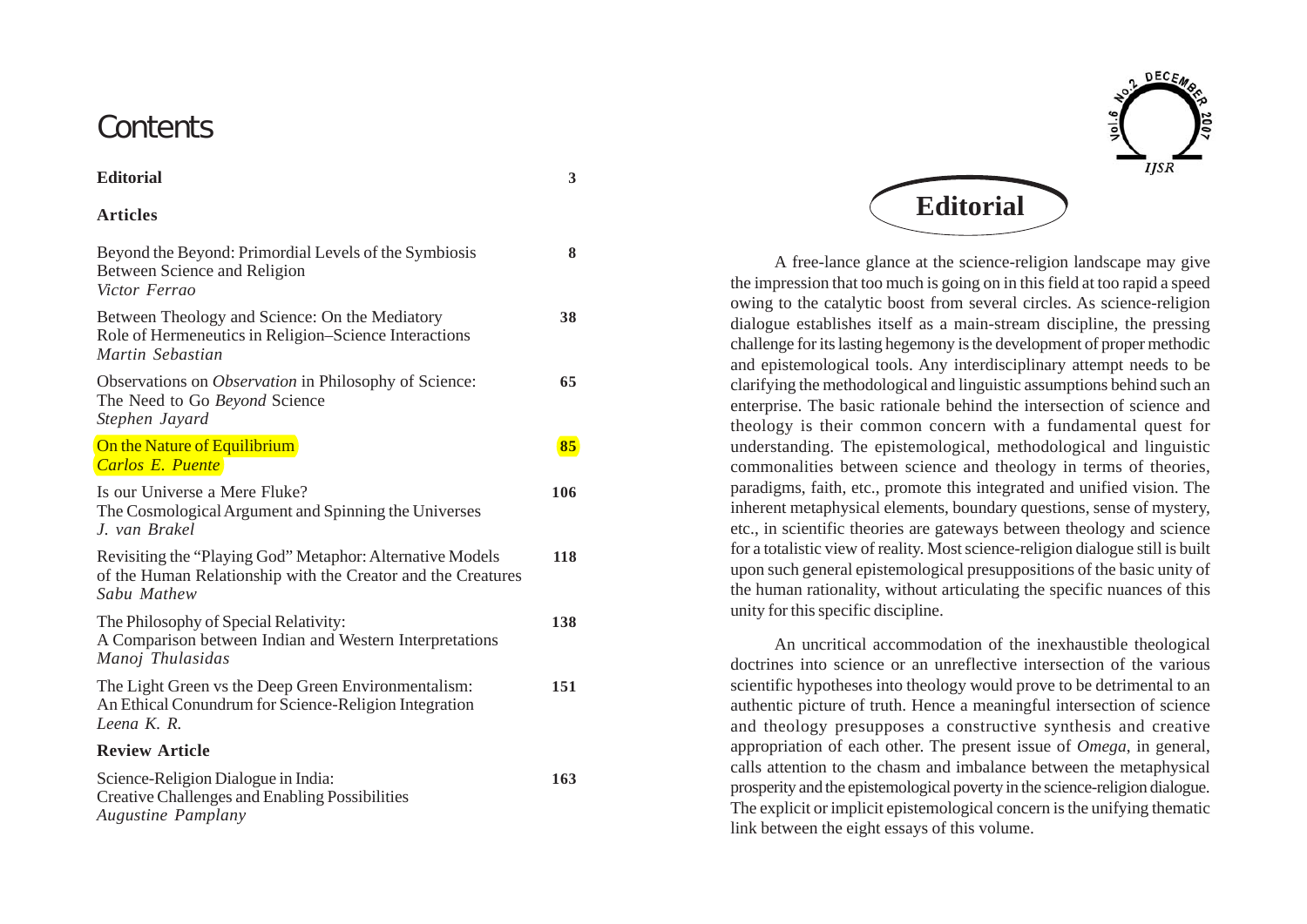## **Contents**

| <b>Editorial</b> | 3 |
|------------------|---|
| <b>Articles</b>  |   |

| Beyond the Beyond: Primordial Levels of the Symbiosis<br>Between Science and Religion<br>Victor Ferrao                                   | 8   |
|------------------------------------------------------------------------------------------------------------------------------------------|-----|
| Between Theology and Science: On the Mediatory<br>Role of Hermeneutics in Religion–Science Interactions<br>Martin Sebastian              | 38  |
| Observations on <i>Observation</i> in Philosophy of Science:<br>The Need to Go Beyond Science<br>Stephen Jayard                          | 65  |
| On the Nature of Equilibrium<br><b>Carlos E. Puente</b>                                                                                  | 85  |
| Is our Universe a Mere Fluke?<br>The Cosmological Argument and Spinning the Universes<br>J. van Brakel                                   | 106 |
| Revisiting the "Playing God" Metaphor: Alternative Models<br>of the Human Relationship with the Creator and the Creatures<br>Sabu Mathew | 118 |
| The Philosophy of Special Relativity:<br>A Comparison between Indian and Western Interpretations<br>Manoj Thulasidas                     | 138 |
| The Light Green vs the Deep Green Environmentalism:<br>An Ethical Conundrum for Science-Religion Integration<br>Leena K. R.              | 151 |
| <b>Review Article</b>                                                                                                                    |     |
| Science-Religion Dialogue in India:<br><b>Creative Challenges and Enabling Possibilities</b><br><b>Augustine Pamplany</b>                | 163 |



A free-lance glance at the science-religion landscape may give the impression that too much is going on in this field at too rapid a speed owing to the catalytic boost from several circles. As science-religion dialogue establishes itself as a main-stream discipline, the pressing challenge for its lasting hegemony is the development of proper methodic and epistemological tools. Any interdisciplinary attempt needs to be clarifying the methodological and linguistic assumptions behind such an enterprise. The basic rationale behind the intersection of science and theology is their common concern with a fundamental quest for understanding. The epistemological, methodological and linguistic commonalities between science and theology in terms of theories, paradigms, faith, etc., promote this integrated and unified vision. The inherent metaphysical elements, boundary questions, sense of mystery, etc., in scientific theories are gateways between theology and science for a totalistic view of reality. Most science-religion dialogue still is built upon such general epistemological presuppositions of the basic unity of the human rationality, without articulating the specific nuances of this unity for this specific discipline.

An uncritical accommodation of the inexhaustible theological doctrines into science or an unreflective intersection of the various scientific hypotheses into theology would prove to be detrimental to an authentic picture of truth. Hence a meaningful intersection of science and theology presupposes a constructive synthesis and creative appropriation of each other. The present issue of *Omega*, in general, calls attention to the chasm and imbalance between the metaphysical prosperity and the epistemological poverty in the science-religion dialogue. The explicit or implicit epistemological concern is the unifying thematic link between the eight essays of this volume.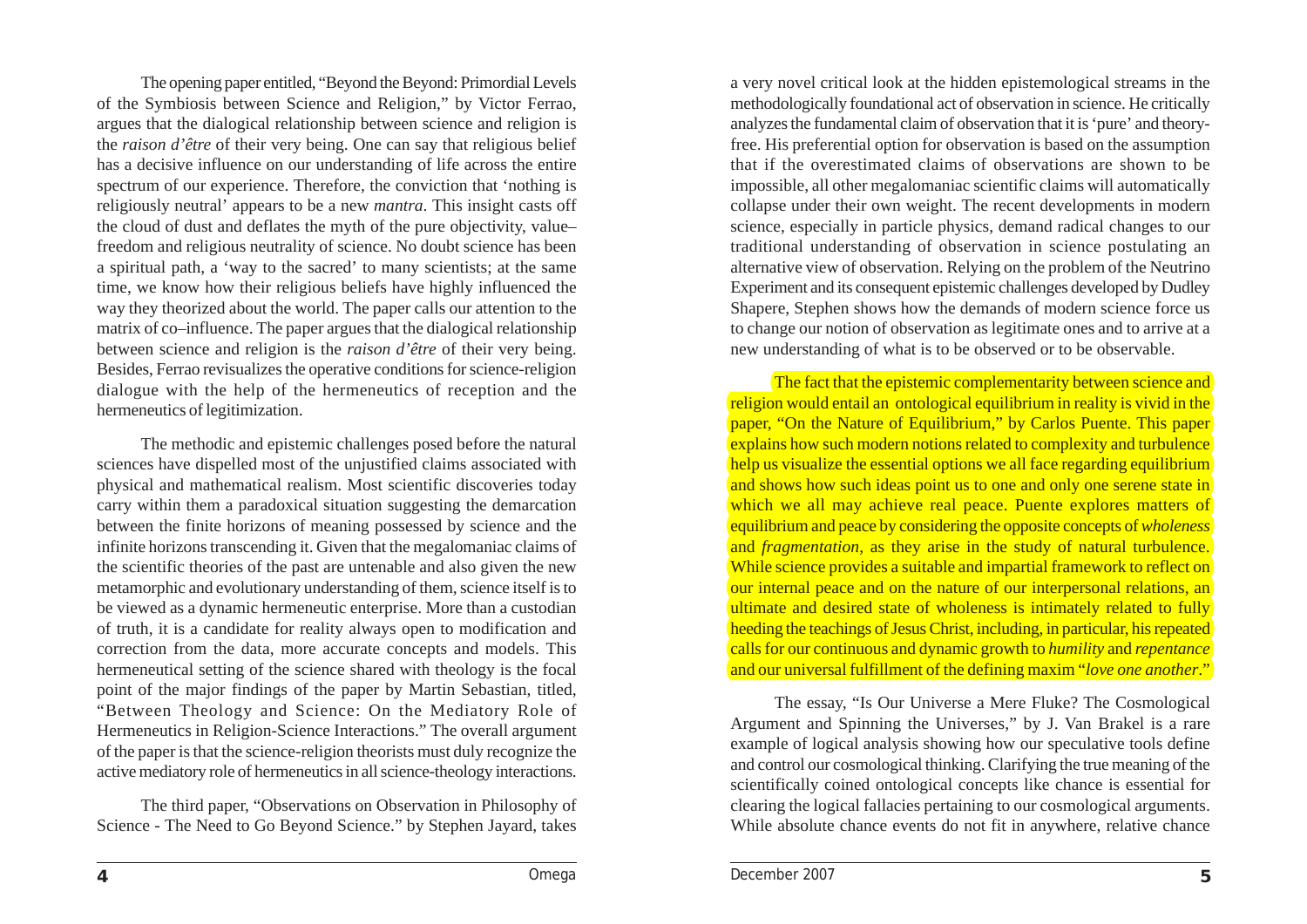The opening paper entitled, "Beyond the Beyond: Primordial Levels of the Symbiosis between Science and Religion," by Victor Ferrao, argues that the dialogical relationship between science and religion is the *raison d'être* of their very being. One can say that religious belief has a decisive influence on our understanding of life across the entire spectrum of our experience. Therefore, the conviction that 'nothing is religiously neutral' appears to be a new *mantra*. This insight casts off the cloud of dust and deflates the myth of the pure objectivity, value– freedom and religious neutrality of science. No doubt science has been a spiritual path, a 'way to the sacred' to many scientists; at the same time, we know how their religious beliefs have highly influenced the way they theorized about the world. The paper calls our attention to the matrix of co–influence. The paper argues that the dialogical relationship between science and religion is the *raison d'être* of their very being. Besides, Ferrao revisualizes the operative conditions for science-religion dialogue with the help of the hermeneutics of reception and the hermeneutics of legitimization.

The methodic and epistemic challenges posed before the natural sciences have dispelled most of the unjustified claims associated with physical and mathematical realism. Most scientific discoveries today carry within them a paradoxical situation suggesting the demarcation between the finite horizons of meaning possessed by science and the infinite horizons transcending it. Given that the megalomaniac claims of the scientific theories of the past are untenable and also given the new metamorphic and evolutionary understanding of them, science itself is to be viewed as a dynamic hermeneutic enterprise. More than a custodian of truth, it is a candidate for reality always open to modification and correction from the data, more accurate concepts and models. This hermeneutical setting of the science shared with theology is the focal point of the major findings of the paper by Martin Sebastian, titled, "Between Theology and Science: On the Mediatory Role of Hermeneutics in Religion-Science Interactions." The overall argument of the paper is that the science-religion theorists must duly recognize the active mediatory role of hermeneutics in all science-theology interactions.

The third paper, "Observations on Observation in Philosophy of Science - The Need to Go Beyond Science." by Stephen Jayard, takes

a very novel critical look at the hidden epistemological streams in the methodologically foundational act of observation in science. He critically analyzes the fundamental claim of observation that it is 'pure' and theoryfree. His preferential option for observation is based on the assumption that if the overestimated claims of observations are shown to be impossible, all other megalomaniac scientific claims will automatically collapse under their own weight. The recent developments in modern science, especially in particle physics, demand radical changes to our traditional understanding of observation in science postulating an alternative view of observation. Relying on the problem of the Neutrino Experiment and its consequent epistemic challenges developed by Dudley Shapere, Stephen shows how the demands of modern science force us to change our notion of observation as legitimate ones and to arrive at a new understanding of what is to be observed or to be observable.

The fact that the epistemic complementarity between science and religion would entail an ontological equilibrium in reality is vivid in the paper, "On the Nature of Equilibrium," by Carlos Puente. This paper explains how such modern notions related to complexity and turbulence help us visualize the essential options we all face regarding equilibrium and shows how such ideas point us to one and only one serene state in which we all may achieve real peace. Puente explores matters of equilibrium and peace by considering the opposite concepts of *wholeness* and *fragmentation*, as they arise in the study of natural turbulence. While science provides a suitable and impartial framework to reflect on our internal peace and on the nature of our interpersonal relations, an ultimate and desired state of wholeness is intimately related to fully heeding the teachings of Jesus Christ, including, in particular, his repeated calls for our continuous and dynamic growth to *humility* and *repentance* and our universal fulfillment of the defining maxim "*love one another*."

The essay, "Is Our Universe a Mere Fluke? The Cosmological Argument and Spinning the Universes," by J. Van Brakel is a rare example of logical analysis showing how our speculative tools define and control our cosmological thinking. Clarifying the true meaning of the scientifically coined ontological concepts like chance is essential for clearing the logical fallacies pertaining to our cosmological arguments. While absolute chance events do not fit in anywhere, relative chance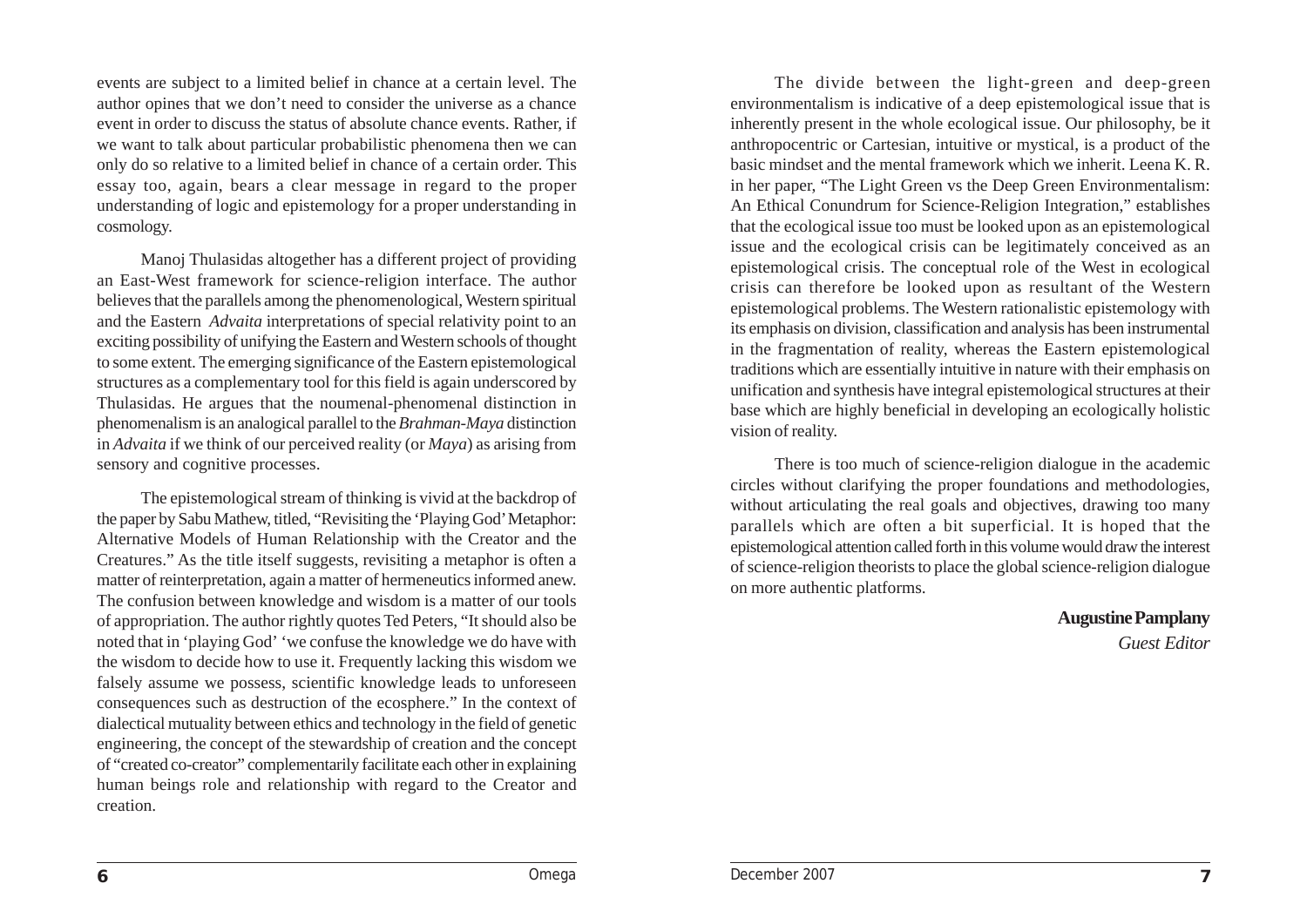events are subject to a limited belief in chance at a certain level. The author opines that we don't need to consider the universe as a chance event in order to discuss the status of absolute chance events. Rather, if we want to talk about particular probabilistic phenomena then we can only do so relative to a limited belief in chance of a certain order. This essay too, again, bears a clear message in regard to the proper understanding of logic and epistemology for a proper understanding in cosmology.

Manoj Thulasidas altogether has a different project of providing an East-West framework for science-religion interface. The author believes that the parallels among the phenomenological, Western spiritual and the Eastern *Advaita* interpretations of special relativity point to an exciting possibility of unifying the Eastern and Western schools of thought to some extent. The emerging significance of the Eastern epistemological structures as a complementary tool for this field is again underscored by Thulasidas. He argues that the noumenal-phenomenal distinction in phenomenalism is an analogical parallel to the *Brahman*-*Maya* distinction in *Advaita* if we think of our perceived reality (or *Maya*) as arising from sensory and cognitive processes.

The epistemological stream of thinking is vivid at the backdrop of the paper by Sabu Mathew, titled, "Revisiting the 'Playing God' Metaphor: Alternative Models of Human Relationship with the Creator and the Creatures." As the title itself suggests, revisiting a metaphor is often a matter of reinterpretation, again a matter of hermeneutics informed anew. The confusion between knowledge and wisdom is a matter of our tools of appropriation. The author rightly quotes Ted Peters, "It should also be noted that in 'playing God' 'we confuse the knowledge we do have with the wisdom to decide how to use it. Frequently lacking this wisdom we falsely assume we possess, scientific knowledge leads to unforeseen consequences such as destruction of the ecosphere." In the context of dialectical mutuality between ethics and technology in the field of genetic engineering, the concept of the stewardship of creation and the concept of "created co-creator" complementarily facilitate each other in explaining human beings role and relationship with regard to the Creator and creation.

The divide between the light-green and deep-green environmentalism is indicative of a deep epistemological issue that is inherently present in the whole ecological issue. Our philosophy, be it anthropocentric or Cartesian, intuitive or mystical, is a product of the basic mindset and the mental framework which we inherit. Leena K. R. in her paper, "The Light Green vs the Deep Green Environmentalism: An Ethical Conundrum for Science-Religion Integration," establishes that the ecological issue too must be looked upon as an epistemological issue and the ecological crisis can be legitimately conceived as an epistemological crisis. The conceptual role of the West in ecological crisis can therefore be looked upon as resultant of the Western epistemological problems. The Western rationalistic epistemology with its emphasis on division, classification and analysis has been instrumental in the fragmentation of reality, whereas the Eastern epistemological traditions which are essentially intuitive in nature with their emphasis on unification and synthesis have integral epistemological structures at their base which are highly beneficial in developing an ecologically holistic vision of reality.

There is too much of science-religion dialogue in the academic circles without clarifying the proper foundations and methodologies, without articulating the real goals and objectives, drawing too many parallels which are often a bit superficial. It is hoped that the epistemological attention called forth in this volume would draw the interest of science-religion theorists to place the global science-religion dialogue on more authentic platforms.

#### **Augustine Pamplany**

*Guest Editor*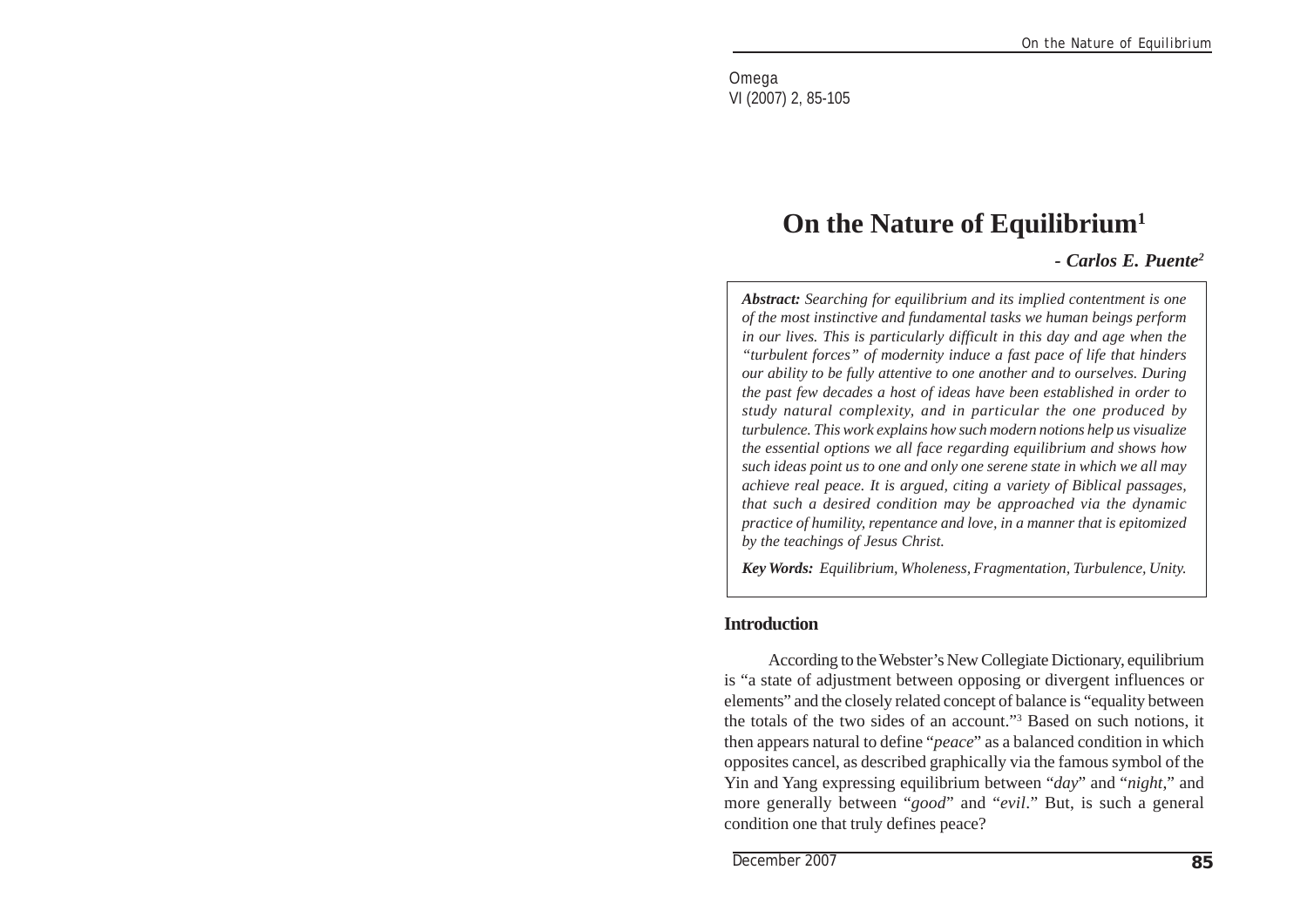Omega VI (2007) 2, 85-105

## **On the Nature of Equilibrium1**

*- Carlos E. Puente2*

*Abstract: Searching for equilibrium and its implied contentment is one of the most instinctive and fundamental tasks we human beings perform in our lives. This is particularly difficult in this day and age when the "turbulent forces" of modernity induce a fast pace of life that hinders our ability to be fully attentive to one another and to ourselves. During the past few decades a host of ideas have been established in order to study natural complexity, and in particular the one produced by turbulence. This work explains how such modern notions help us visualize the essential options we all face regarding equilibrium and shows how such ideas point us to one and only one serene state in which we all may achieve real peace. It is argued, citing a variety of Biblical passages, that such a desired condition may be approached via the dynamic practice of humility, repentance and love, in a manner that is epitomized by the teachings of Jesus Christ.*

*Key Words: Equilibrium, Wholeness, Fragmentation, Turbulence, Unity.*

#### **Introduction**

According to the Webster's New Collegiate Dictionary, equilibrium is "a state of adjustment between opposing or divergent influences or elements" and the closely related concept of balance is "equality between the totals of the two sides of an account."3 Based on such notions, it then appears natural to define "*peace*" as a balanced condition in which opposites cancel, as described graphically via the famous symbol of the Yin and Yang expressing equilibrium between "*day*" and "*night*," and more generally between "*good*" and "*evil*." But, is such a general condition one that truly defines peace?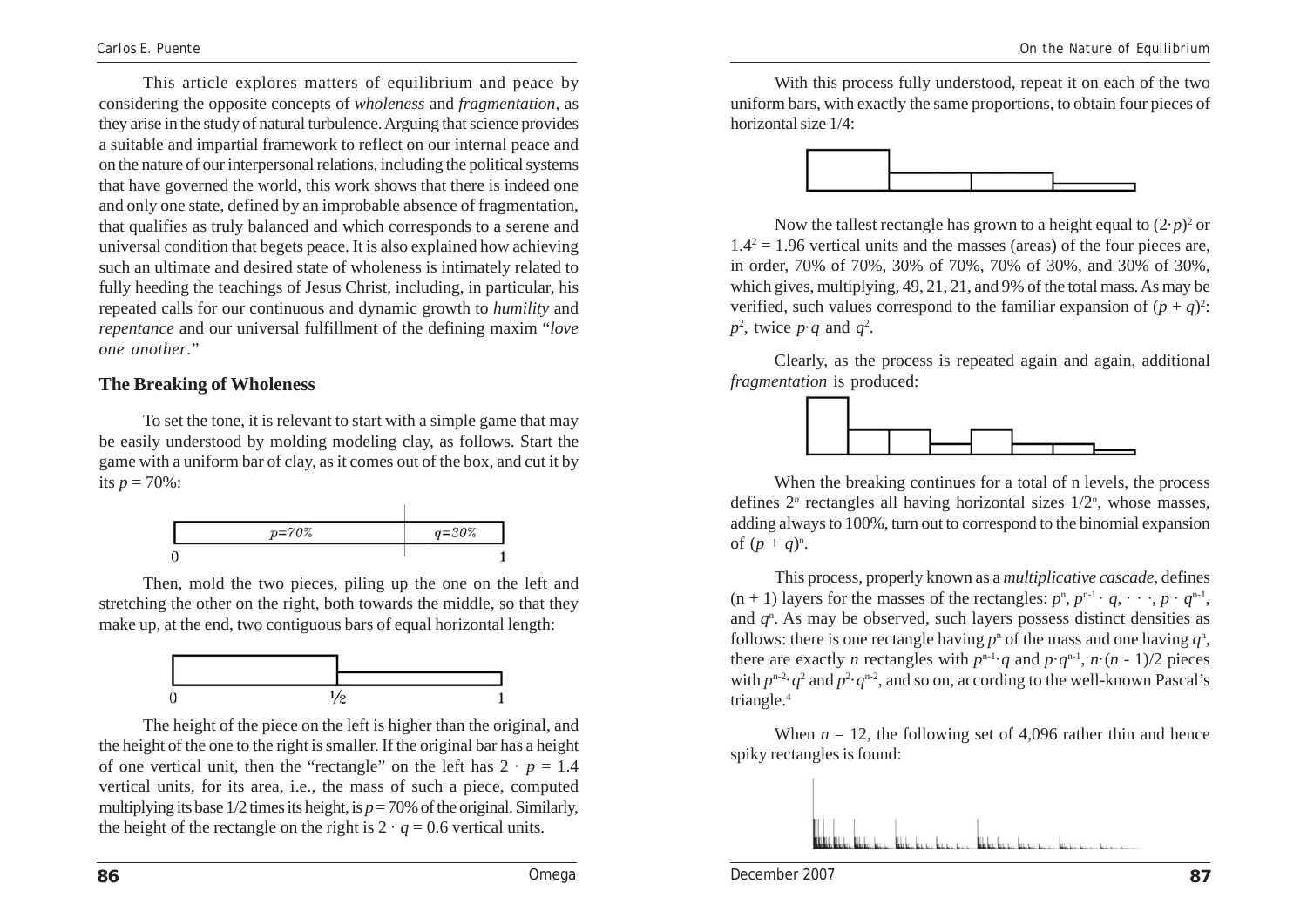This article explores matters of equilibrium and peace by considering the opposite concepts of *wholeness* and *fragmentation*, as they arise in the study of natural turbulence. Arguing that science provides a suitable and impartial framework to reflect on our internal peace and on the nature of our interpersonal relations, including the political systems that have governed the world, this work shows that there is indeed one and only one state, defined by an improbable absence of fragmentation, that qualifies as truly balanced and which corresponds to a serene and universal condition that begets peace. It is also explained how achieving such an ultimate and desired state of wholeness is intimately related to fully heeding the teachings of Jesus Christ, including, in particular, his repeated calls for our continuous and dynamic growth to *humility* and *repentance* and our universal fulfillment of the defining maxim "*love one another*."

### **The Breaking of Wholeness**

To set the tone, it is relevant to start with a simple game that may be easily understood by molding modeling clay, as follows. Start the game with a uniform bar of clay, as it comes out of the box, and cut it by its  $p = 70\%$ :



Then, mold the two pieces, piling up the one on the left and stretching the other on the right, both towards the middle, so that they make up, at the end, two contiguous bars of equal horizontal length:



The height of the piece on the left is higher than the original, and the height of the one to the right is smaller. If the original bar has a height of one vertical unit, then the "rectangle" on the left has  $2 \cdot p = 1.4$ vertical units, for its area, i.e., the mass of such a piece, computed multiplying its base  $1/2$  times its height, is  $p = 70\%$  of the original. Similarly, the height of the rectangle on the right is  $2 \cdot a = 0.6$  vertical units.

With this process fully understood, repeat it on each of the two uniform bars, with exactly the same proportions, to obtain four pieces of horizontal size 1/4:



Now the tallest rectangle has grown to a height equal to  $(2 \cdot p)^2$  or  $1.4<sup>2</sup> = 1.96$  vertical units and the masses (areas) of the four pieces are, in order, 70% of 70%, 30% of 70%, 70% of 30%, and 30% of 30%, which gives, multiplying, 49, 21, 21, and 9% of the total mass. As may be verified, such values correspond to the familiar expansion of  $(p + q)^2$ .  $p^2$ , twice  $p \cdot q$  and  $q^2$ .

Clearly, as the process is repeated again and again, additional *fragmentation* is produced:



When the breaking continues for a total of n levels, the process defines  $2^n$  rectangles all having horizontal sizes  $1/2^n$ , whose masses, adding always to 100%, turn out to correspond to the binomial expansion of  $(p + q)^{n}$ .

This process, properly known as a *multiplicative cascade*, defines  $(n + 1)$  layers for the masses of the rectangles:  $p^n$ ,  $p^{n-1} \cdot q$ ,  $\cdots$ ,  $p \cdot q^{n-1}$ , and  $q<sup>n</sup>$ . As may be observed, such layers possess distinct densities as follows: there is one rectangle having  $p<sup>n</sup>$  of the mass and one having  $q<sup>n</sup>$ , there are exactly *n* rectangles with  $p^{n-1} \cdot q$  and  $p \cdot q^{n-1}$ ,  $n \cdot (n-1)/2$  pieces with  $p^{n-2}$   $q^2$  and  $p^2$   $q^{n-2}$ , and so on, according to the well-known Pascal's triangle.4

When  $n = 12$ , the following set of 4,096 rather thin and hence spiky rectangles is found:

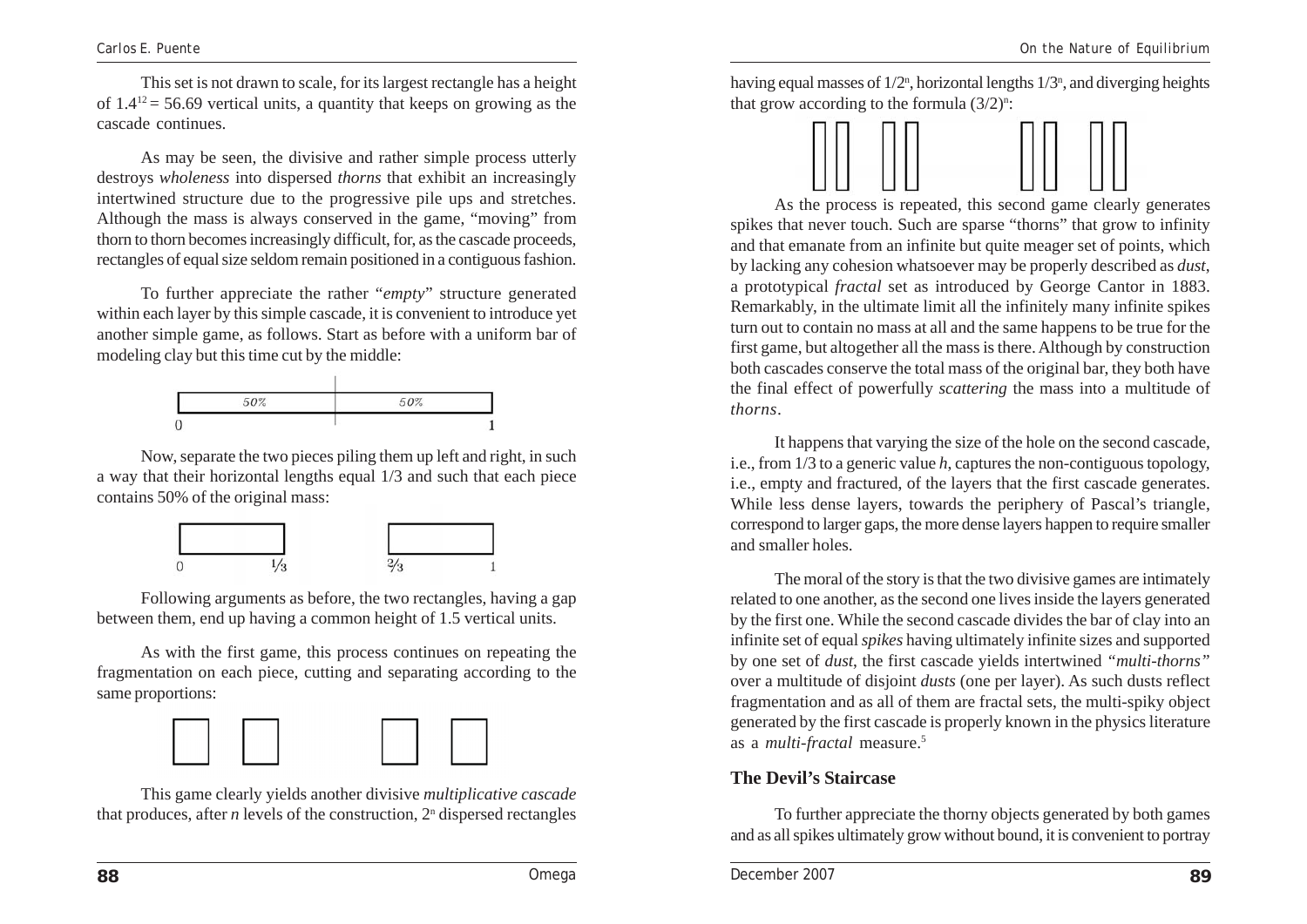This set is not drawn to scale, for its largest rectangle has a height of  $1.4^{12} = 56.69$  vertical units, a quantity that keeps on growing as the cascade continues.

As may be seen, the divisive and rather simple process utterly destroys *wholeness* into dispersed *thorns* that exhibit an increasingly intertwined structure due to the progressive pile ups and stretches. Although the mass is always conserved in the game, "moving" from thorn to thorn becomes increasingly difficult, for, as the cascade proceeds, rectangles of equal size seldom remain positioned in a contiguous fashion.

To further appreciate the rather "*empty*" structure generated within each layer by this simple cascade, it is convenient to introduce yet another simple game, as follows. Start as before with a uniform bar of modeling clay but this time cut by the middle:

| I | 50% | 50% |  |
|---|-----|-----|--|
| 0 |     |     |  |

Now, separate the two pieces piling them up left and right, in such a way that their horizontal lengths equal 1/3 and such that each piece contains 50% of the original mass:



Following arguments as before, the two rectangles, having a gap between them, end up having a common height of 1.5 vertical units.

As with the first game, this process continues on repeating the fragmentation on each piece, cutting and separating according to the same proportions:



This game clearly yields another divisive *multiplicative cascade* that produces, after  $n$  levels of the construction,  $2<sup>n</sup>$  dispersed rectangles

having equal masses of  $1/2$ <sup>n</sup>, horizontal lengths  $1/3$ <sup>n</sup>, and diverging heights that grow according to the formula  $(3/2)^n$ :



As the process is repeated, this second game clearly generates spikes that never touch. Such are sparse "thorns" that grow to infinity and that emanate from an infinite but quite meager set of points, which by lacking any cohesion whatsoever may be properly described as *dust*, a prototypical *fractal* set as introduced by George Cantor in 1883. Remarkably, in the ultimate limit all the infinitely many infinite spikes turn out to contain no mass at all and the same happens to be true for the first game, but altogether all the mass is there. Although by construction both cascades conserve the total mass of the original bar, they both have the final effect of powerfully *scattering* the mass into a multitude of *thorns*.

It happens that varying the size of the hole on the second cascade, i.e., from 1/3 to a generic value *h*, captures the non-contiguous topology, i.e., empty and fractured, of the layers that the first cascade generates. While less dense layers, towards the periphery of Pascal's triangle, correspond to larger gaps, the more dense layers happen to require smaller and smaller holes.

The moral of the story is that the two divisive games are intimately related to one another, as the second one lives inside the layers generated by the first one. While the second cascade divides the bar of clay into an infinite set of equal *spikes* having ultimately infinite sizes and supported by one set of *dust*, the first cascade yields intertwined *"multi-thorns"* over a multitude of disjoint *dusts* (one per layer). As such dusts reflect fragmentation and as all of them are fractal sets, the multi-spiky object generated by the first cascade is properly known in the physics literature as a *multi-fractal* measure.5

#### **The Devil's Staircase**

To further appreciate the thorny objects generated by both games and as all spikes ultimately grow without bound, it is convenient to portray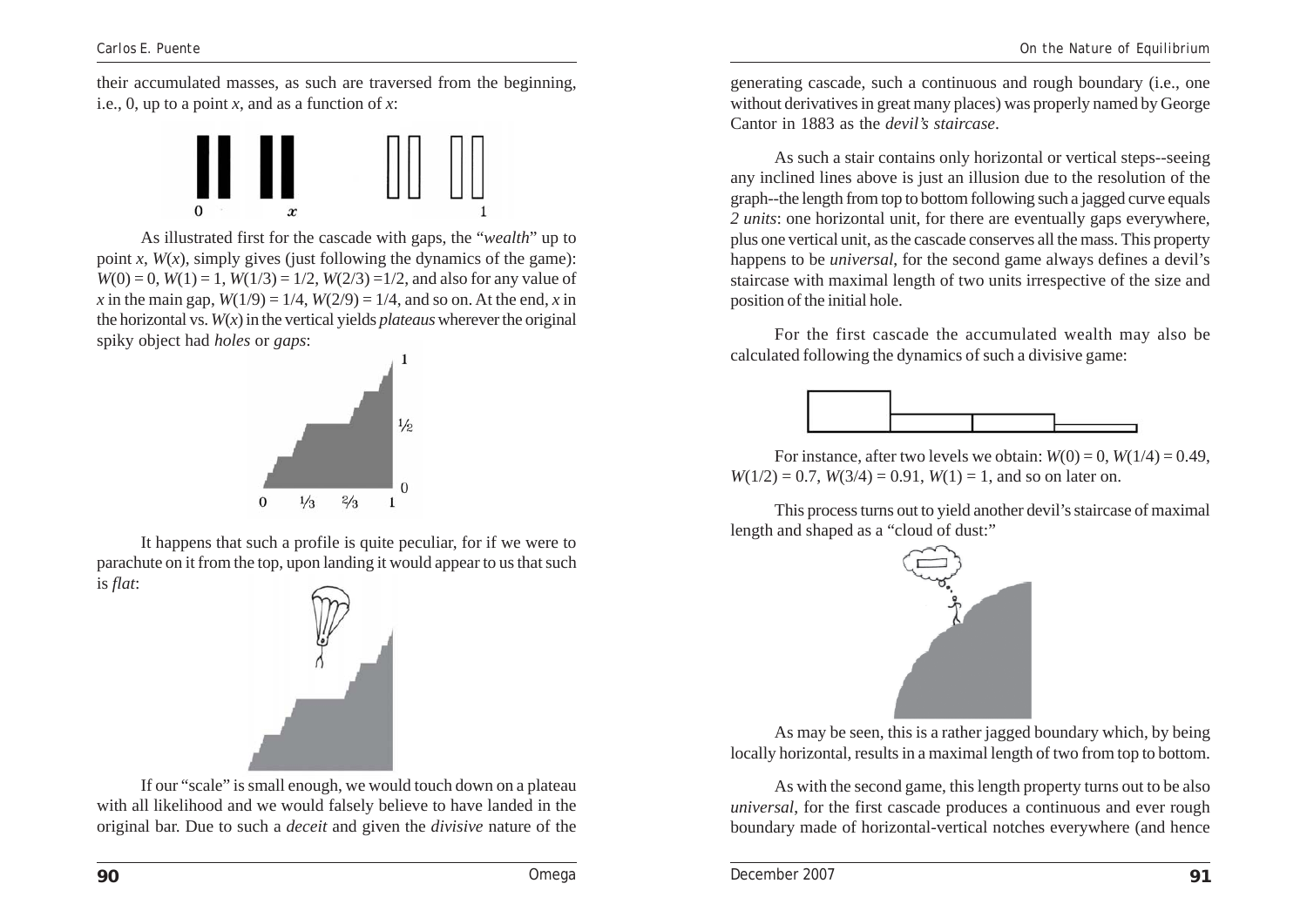their accumulated masses, as such are traversed from the beginning, i.e., 0, up to a point *x*, and as a function of *x*:



As illustrated first for the cascade with gaps, the "*wealth*" up to point *x*,  $W(x)$ , simply gives (just following the dynamics of the game):  $W(0) = 0$ ,  $W(1) = 1$ ,  $W(1/3) = 1/2$ ,  $W(2/3) = 1/2$ , and also for any value of *x* in the main gap,  $W(1/9) = 1/4$ ,  $W(2/9) = 1/4$ , and so on. At the end, *x* in the horizontal vs. *W*(*x*) in the vertical yields *plateaus* wherever the original spiky object had *holes* or *gaps*:



It happens that such a profile is quite peculiar, for if we were to parachute on it from the top, upon landing it would appear to us that such is *flat*:



If our "scale" is small enough, we would touch down on a plateau with all likelihood and we would falsely believe to have landed in the original bar. Due to such a *deceit* and given the *divisive* nature of the generating cascade, such a continuous and rough boundary (i.e., one without derivatives in great many places) was properly named by George Cantor in 1883 as the *devil's staircase*.

As such a stair contains only horizontal or vertical steps--seeing any inclined lines above is just an illusion due to the resolution of the graph--the length from top to bottom following such a jagged curve equals *2 units*: one horizontal unit, for there are eventually gaps everywhere, plus one vertical unit, as the cascade conserves all the mass. This property happens to be *universal*, for the second game always defines a devil's staircase with maximal length of two units irrespective of the size and position of the initial hole.

For the first cascade the accumulated wealth may also be calculated following the dynamics of such a divisive game:



For instance, after two levels we obtain:  $W(0) = 0$ ,  $W(1/4) = 0.49$ ,  $W(1/2) = 0.7$ ,  $W(3/4) = 0.91$ ,  $W(1) = 1$ , and so on later on.

This process turns out to yield another devil's staircase of maximal length and shaped as a "cloud of dust:"



As may be seen, this is a rather jagged boundary which, by being locally horizontal, results in a maximal length of two from top to bottom.

As with the second game, this length property turns out to be also *universal*, for the first cascade produces a continuous and ever rough boundary made of horizontal-vertical notches everywhere (and hence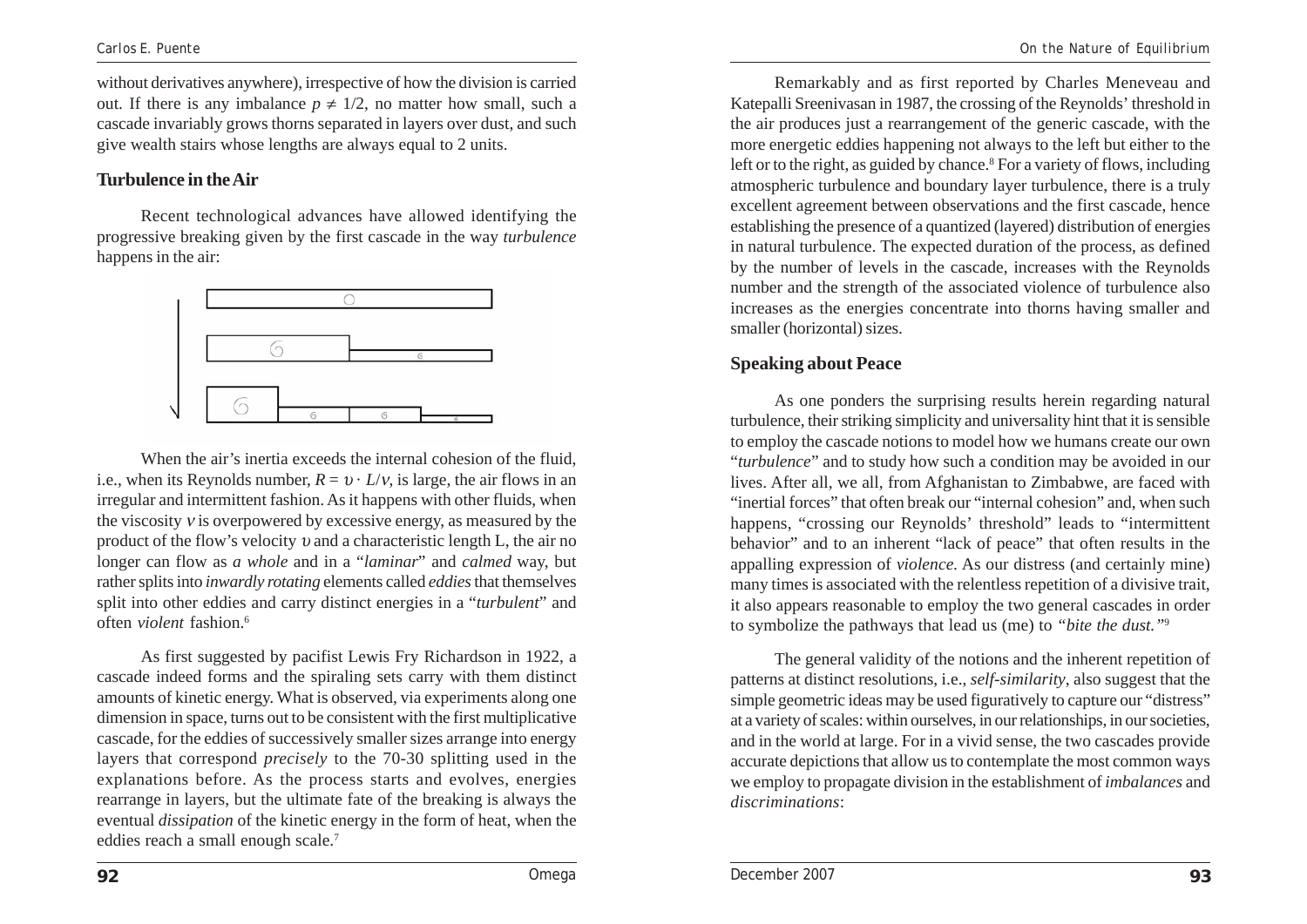without derivatives anywhere), irrespective of how the division is carried out. If there is any imbalance  $p \neq 1/2$ , no matter how small, such a cascade invariably grows thorns separated in layers over dust, and such give wealth stairs whose lengths are always equal to 2 units.

#### **Turbulence in the Air**

Recent technological advances have allowed identifying the progressive breaking given by the first cascade in the way *turbulence* happens in the air:



When the air's inertia exceeds the internal cohesion of the fluid, i.e., when its Reynolds number,  $R = v \cdot L/v$ , is large, the air flows in an irregular and intermittent fashion. As it happens with other fluids, when the viscosity  $v$  is overpowered by excessive energy, as measured by the product of the flow's velocity  $\nu$  and a characteristic length L, the air no longer can flow as *a whole* and in a "*laminar*" and *calmed* way, but rather splits into *inwardly rotating* elements called *eddies* that themselves split into other eddies and carry distinct energies in a "*turbulent*" and often *violent* fashion.6

As first suggested by pacifist Lewis Fry Richardson in 1922, a cascade indeed forms and the spiraling sets carry with them distinct amounts of kinetic energy. What is observed, via experiments along one dimension in space, turns out to be consistent with the first multiplicative cascade, for the eddies of successively smaller sizes arrange into energy layers that correspond *precisely* to the 70-30 splitting used in the explanations before. As the process starts and evolves, energies rearrange in layers, but the ultimate fate of the breaking is always the eventual *dissipation* of the kinetic energy in the form of heat, when the eddies reach a small enough scale.7

Remarkably and as first reported by Charles Meneveau and Katepalli Sreenivasan in 1987, the crossing of the Reynolds' threshold in the air produces just a rearrangement of the generic cascade, with the more energetic eddies happening not always to the left but either to the left or to the right, as guided by chance.<sup>8</sup> For a variety of flows, including atmospheric turbulence and boundary layer turbulence, there is a truly excellent agreement between observations and the first cascade, hence establishing the presence of a quantized (layered) distribution of energies in natural turbulence. The expected duration of the process, as defined by the number of levels in the cascade, increases with the Reynolds number and the strength of the associated violence of turbulence also increases as the energies concentrate into thorns having smaller and smaller (horizontal) sizes.

#### **Speaking about Peace**

As one ponders the surprising results herein regarding natural turbulence, their striking simplicity and universality hint that it is sensible to employ the cascade notions to model how we humans create our own "*turbulence*" and to study how such a condition may be avoided in our lives. After all, we all, from Afghanistan to Zimbabwe, are faced with "inertial forces" that often break our "internal cohesion" and, when such happens, "crossing our Reynolds' threshold" leads to "intermittent behavior" and to an inherent "lack of peace" that often results in the appalling expression of *violence*. As our distress (and certainly mine) many times is associated with the relentless repetition of a divisive trait, it also appears reasonable to employ the two general cascades in order to symbolize the pathways that lead us (me) to *"bite the dust."*<sup>9</sup>

The general validity of the notions and the inherent repetition of patterns at distinct resolutions, i.e., *self-similarity*, also suggest that the simple geometric ideas may be used figuratively to capture our "distress" at a variety of scales: within ourselves, in our relationships, in our societies, and in the world at large. For in a vivid sense, the two cascades provide accurate depictions that allow us to contemplate the most common ways we employ to propagate division in the establishment of *imbalances* and *discriminations*: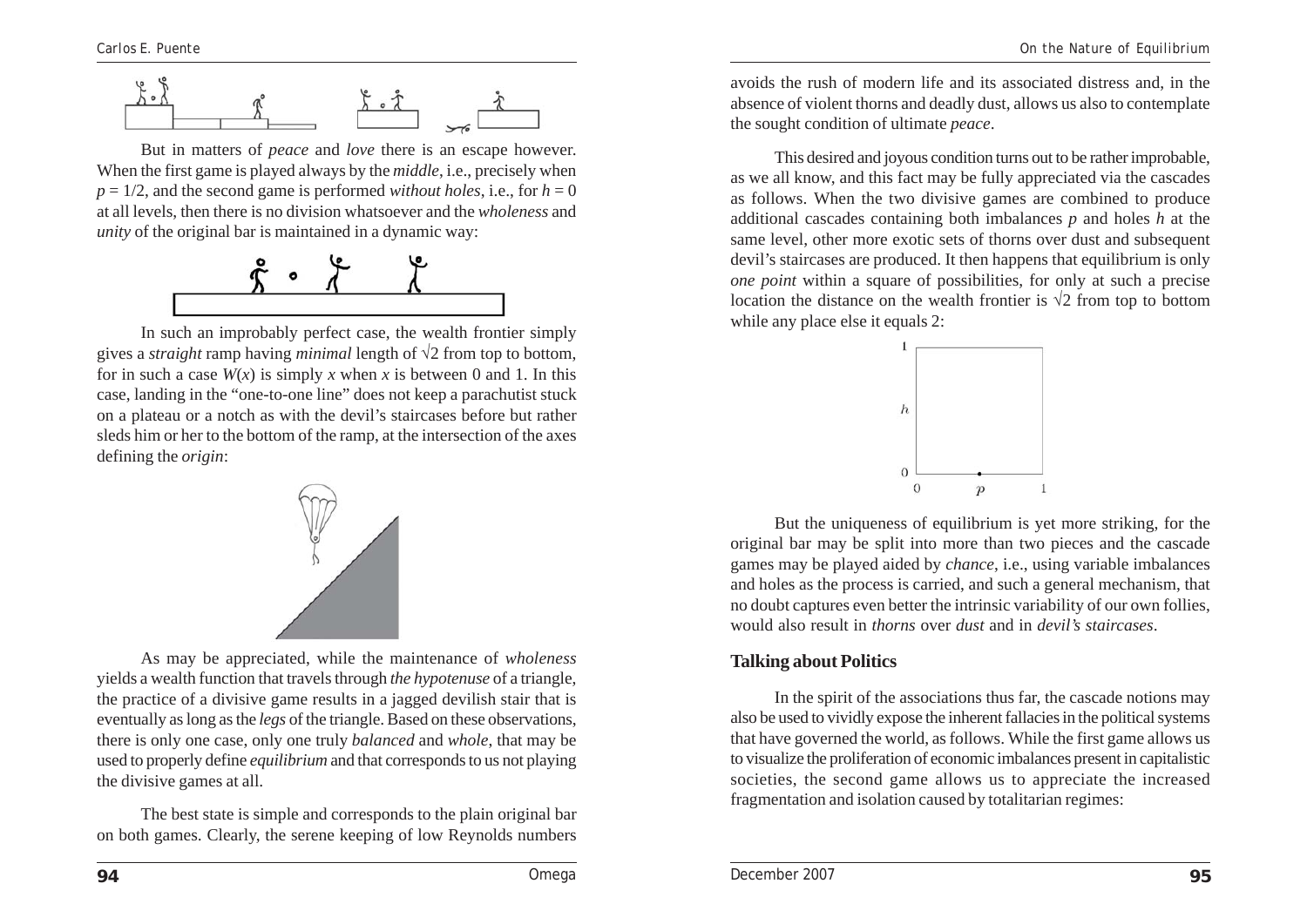

But in matters of *peace* and *love* there is an escape however. When the first game is played always by the *middle*, i.e., precisely when  $p = 1/2$ , and the second game is performed *without holes*, i.e., for  $h = 0$ at all levels, then there is no division whatsoever and the *wholeness* and *unity* of the original bar is maintained in a dynamic way:



In such an improbably perfect case, the wealth frontier simply gives a *straight* ramp having *minimal* length of √2 from top to bottom, for in such a case  $W(x)$  is simply x when x is between 0 and 1. In this case, landing in the "one-to-one line" does not keep a parachutist stuck on a plateau or a notch as with the devil's staircases before but rather sleds him or her to the bottom of the ramp, at the intersection of the axes defining the *origin*:



As may be appreciated, while the maintenance of *wholeness* yields a wealth function that travels through *the hypotenuse* of a triangle, the practice of a divisive game results in a jagged devilish stair that is eventually as long as the *legs* of the triangle. Based on these observations, there is only one case, only one truly *balanced* and *whole*, that may be used to properly define *equilibrium* and that corresponds to us not playing the divisive games at all.

The best state is simple and corresponds to the plain original bar on both games. Clearly, the serene keeping of low Reynolds numbers avoids the rush of modern life and its associated distress and, in the absence of violent thorns and deadly dust, allows us also to contemplate the sought condition of ultimate *peace*.

This desired and joyous condition turns out to be rather improbable, as we all know, and this fact may be fully appreciated via the cascades as follows. When the two divisive games are combined to produce additional cascades containing both imbalances *p* and holes *h* at the same level, other more exotic sets of thorns over dust and subsequent devil's staircases are produced. It then happens that equilibrium is only *one point* within a square of possibilities, for only at such a precise location the distance on the wealth frontier is  $\sqrt{2}$  from top to bottom while any place else it equals 2:



But the uniqueness of equilibrium is yet more striking, for the original bar may be split into more than two pieces and the cascade games may be played aided by *chance*, i.e., using variable imbalances and holes as the process is carried, and such a general mechanism, that no doubt captures even better the intrinsic variability of our own follies, would also result in *thorns* over *dust* and in *devil's staircases*.

#### **Talking about Politics**

In the spirit of the associations thus far, the cascade notions may also be used to vividly expose the inherent fallacies in the political systems that have governed the world, as follows. While the first game allows us to visualize the proliferation of economic imbalances present in capitalistic societies, the second game allows us to appreciate the increased fragmentation and isolation caused by totalitarian regimes: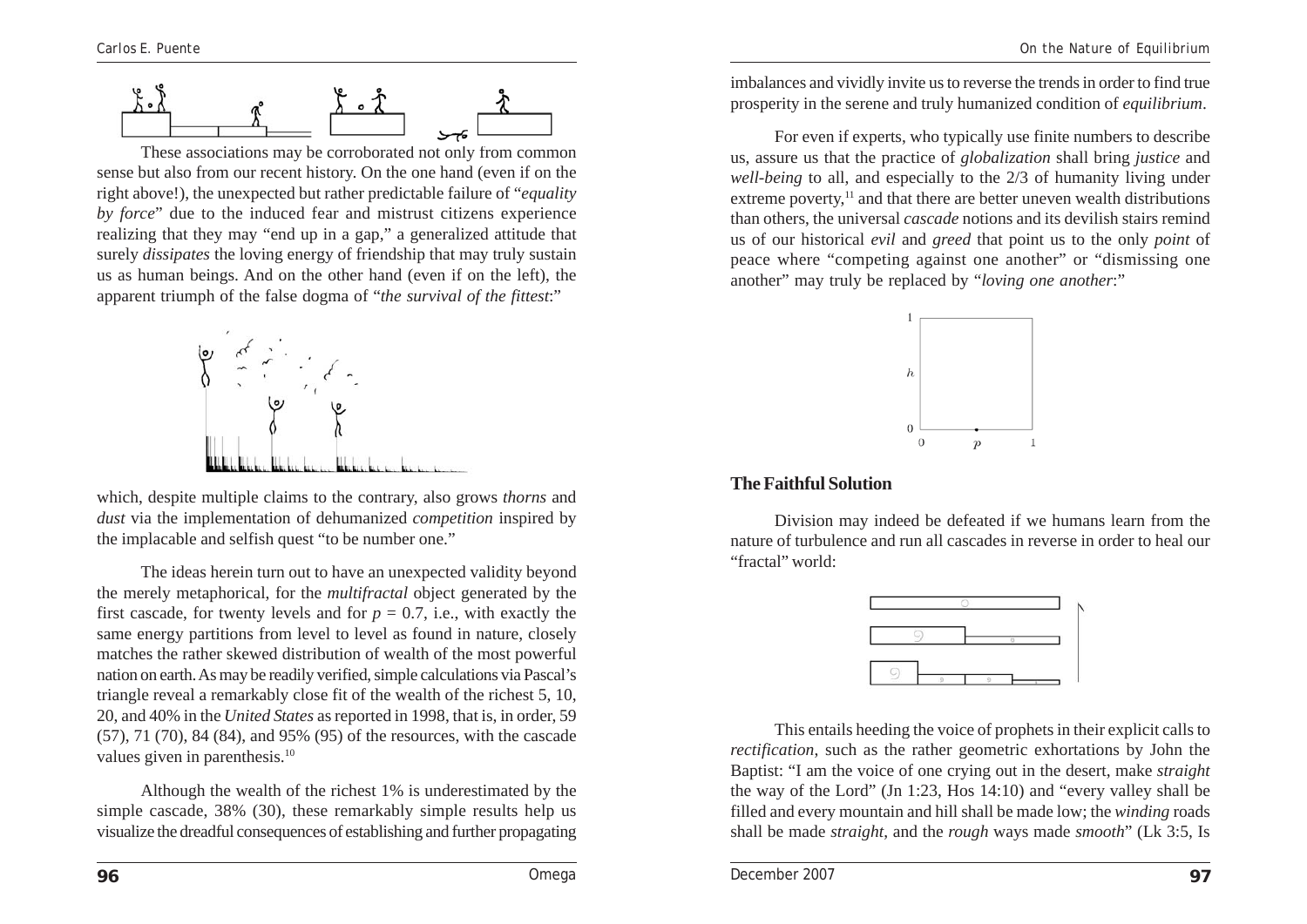

These associations may be corroborated not only from common sense but also from our recent history. On the one hand (even if on the right above!), the unexpected but rather predictable failure of "*equality by force*" due to the induced fear and mistrust citizens experience realizing that they may "end up in a gap," a generalized attitude that surely *dissipates* the loving energy of friendship that may truly sustain us as human beings. And on the other hand (even if on the left), the apparent triumph of the false dogma of "*the survival of the fittest*:"



which, despite multiple claims to the contrary, also grows *thorns* and *dust* via the implementation of dehumanized *competition* inspired by the implacable and selfish quest "to be number one."

The ideas herein turn out to have an unexpected validity beyond the merely metaphorical, for the *multifractal* object generated by the first cascade, for twenty levels and for  $p = 0.7$ , i.e., with exactly the same energy partitions from level to level as found in nature, closely matches the rather skewed distribution of wealth of the most powerful nation on earth. As may be readily verified, simple calculations via Pascal's triangle reveal a remarkably close fit of the wealth of the richest 5, 10, 20, and 40% in the *United States* as reported in 1998, that is, in order, 59 (57), 71 (70), 84 (84), and 95% (95) of the resources, with the cascade values given in parenthesis.<sup>10</sup>

Although the wealth of the richest 1% is underestimated by the simple cascade, 38% (30), these remarkably simple results help us visualize the dreadful consequences of establishing and further propagating imbalances and vividly invite us to reverse the trends in order to find true prosperity in the serene and truly humanized condition of *equilibrium*.

For even if experts, who typically use finite numbers to describe us, assure us that the practice of *globalization* shall bring *justice* and *well-being* to all, and especially to the 2/3 of humanity living under extreme poverty, $<sup>11</sup>$  and that there are better uneven wealth distributions</sup> than others, the universal *cascade* notions and its devilish stairs remind us of our historical *evil* and *greed* that point us to the only *point* of peace where "competing against one another" or "dismissing one another" may truly be replaced by "*loving one another*:"



#### **The Faithful Solution**

Division may indeed be defeated if we humans learn from the nature of turbulence and run all cascades in reverse in order to heal our "fractal" world:



This entails heeding the voice of prophets in their explicit calls to *rectification*, such as the rather geometric exhortations by John the Baptist: "I am the voice of one crying out in the desert, make *straight* the way of the Lord" (Jn 1:23, Hos 14:10) and "every valley shall be filled and every mountain and hill shall be made low; the *winding* roads shall be made *straight*, and the *rough* ways made *smooth*" (Lk 3:5, Is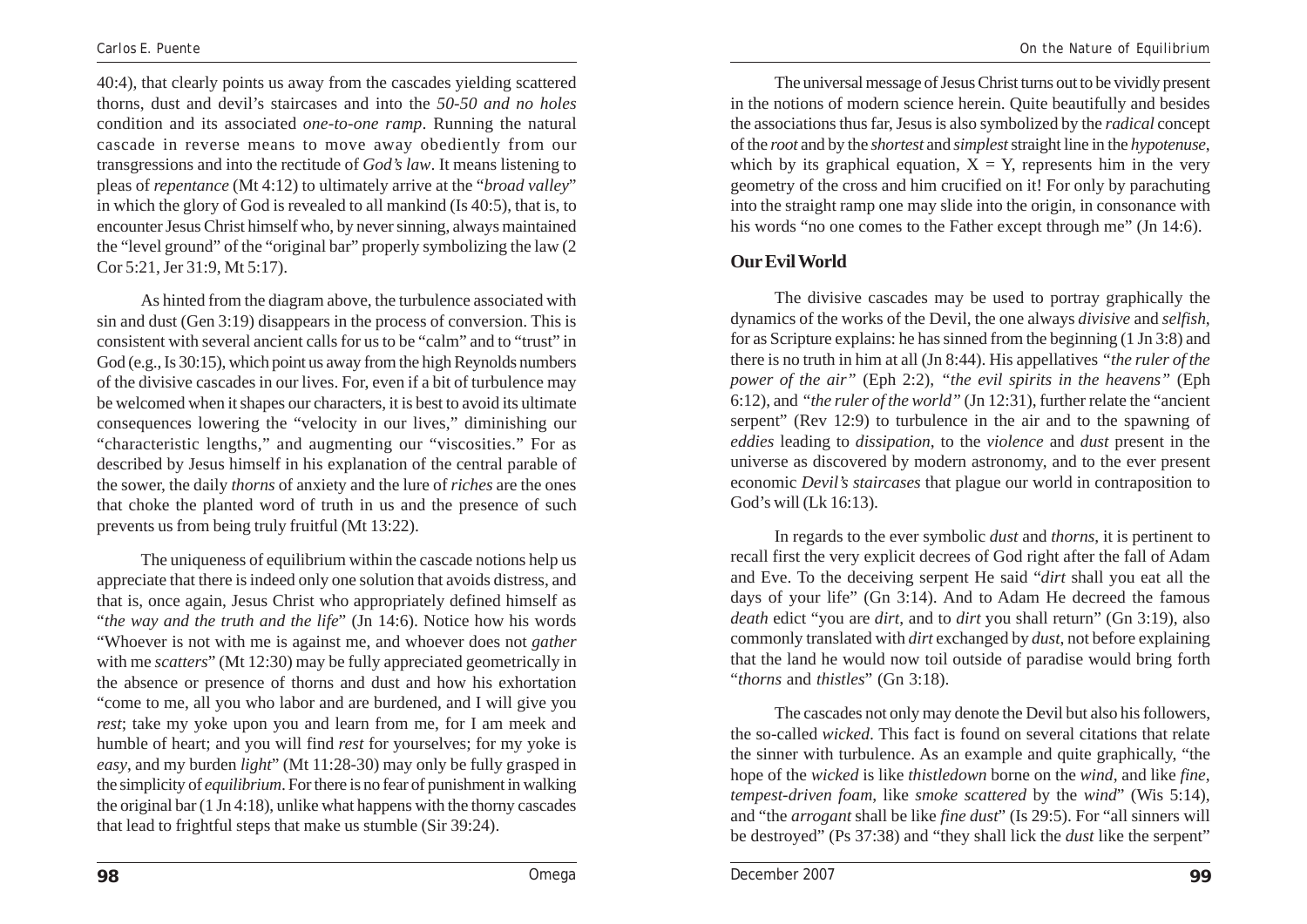40:4), that clearly points us away from the cascades yielding scattered thorns, dust and devil's staircases and into the *50-50 and no holes* condition and its associated *one-to-one ramp*. Running the natural cascade in reverse means to move away obediently from our transgressions and into the rectitude of *God's law*. It means listening to pleas of *repentance* (Mt 4:12) to ultimately arrive at the "*broad valley*" in which the glory of God is revealed to all mankind (Is 40:5), that is, to encounter Jesus Christ himself who, by never sinning, always maintained the "level ground" of the "original bar" properly symbolizing the law (2 Cor 5:21, Jer 31:9, Mt 5:17).

As hinted from the diagram above, the turbulence associated with sin and dust (Gen 3:19) disappears in the process of conversion. This is consistent with several ancient calls for us to be "calm" and to "trust" in God (e.g., Is 30:15), which point us away from the high Reynolds numbers of the divisive cascades in our lives. For, even if a bit of turbulence may be welcomed when it shapes our characters, it is best to avoid its ultimate consequences lowering the "velocity in our lives," diminishing our "characteristic lengths," and augmenting our "viscosities." For as described by Jesus himself in his explanation of the central parable of the sower, the daily *thorns* of anxiety and the lure of *riches* are the ones that choke the planted word of truth in us and the presence of such prevents us from being truly fruitful (Mt 13:22).

The uniqueness of equilibrium within the cascade notions help us appreciate that there is indeed only one solution that avoids distress, and that is, once again, Jesus Christ who appropriately defined himself as "*the way and the truth and the life*" (Jn 14:6). Notice how his words "Whoever is not with me is against me, and whoever does not *gather* with me *scatters*" (Mt 12:30) may be fully appreciated geometrically in the absence or presence of thorns and dust and how his exhortation "come to me, all you who labor and are burdened, and I will give you *rest*; take my yoke upon you and learn from me, for I am meek and humble of heart; and you will find *rest* for yourselves; for my yoke is *easy*, and my burden *light*" (Mt 11:28-30) may only be fully grasped in the simplicity of *equilibrium*. For there is no fear of punishment in walking the original bar (1 Jn 4:18), unlike what happens with the thorny cascades that lead to frightful steps that make us stumble (Sir 39:24).

The universal message of Jesus Christ turns out to be vividly present in the notions of modern science herein. Quite beautifully and besides the associations thus far, Jesus is also symbolized by the *radical* concept of the *root* and by the *shortest* and *simplest* straight line in the *hypotenuse*, which by its graphical equation,  $X = Y$ , represents him in the very geometry of the cross and him crucified on it! For only by parachuting into the straight ramp one may slide into the origin, in consonance with his words "no one comes to the Father except through me" (Jn 14:6).

#### **Our Evil World**

The divisive cascades may be used to portray graphically the dynamics of the works of the Devil, the one always *divisive* and *selfish*, for as Scripture explains: he has sinned from the beginning (1 Jn 3:8) and there is no truth in him at all (Jn 8:44). His appellatives *"the ruler of the power of the air"* (Eph 2:2), *"the evil spirits in the heavens"* (Eph 6:12), and *"the ruler of the world"* (Jn 12:31), further relate the "ancient serpent" (Rev 12:9) to turbulence in the air and to the spawning of *eddies* leading to *dissipation*, to the *violence* and *dust* present in the universe as discovered by modern astronomy, and to the ever present economic *Devil's staircases* that plague our world in contraposition to God's will (Lk 16:13).

In regards to the ever symbolic *dust* and *thorns*, it is pertinent to recall first the very explicit decrees of God right after the fall of Adam and Eve. To the deceiving serpent He said "*dirt* shall you eat all the days of your life" (Gn 3:14). And to Adam He decreed the famous *death* edict "you are *dirt*, and to *dirt* you shall return" (Gn 3:19), also commonly translated with *dirt* exchanged by *dust*, not before explaining that the land he would now toil outside of paradise would bring forth "*thorns* and *thistles*" (Gn 3:18).

The cascades not only may denote the Devil but also his followers, the so-called *wicked*. This fact is found on several citations that relate the sinner with turbulence. As an example and quite graphically, "the hope of the *wicked* is like *thistledown* borne on the *wind*, and like *fine*, *tempest-driven foam*, like *smoke scattered* by the *wind*" (Wis 5:14), and "the *arrogant* shall be like *fine dust*" (Is 29:5). For "all sinners will be destroyed" (Ps 37:38) and "they shall lick the *dust* like the serpent"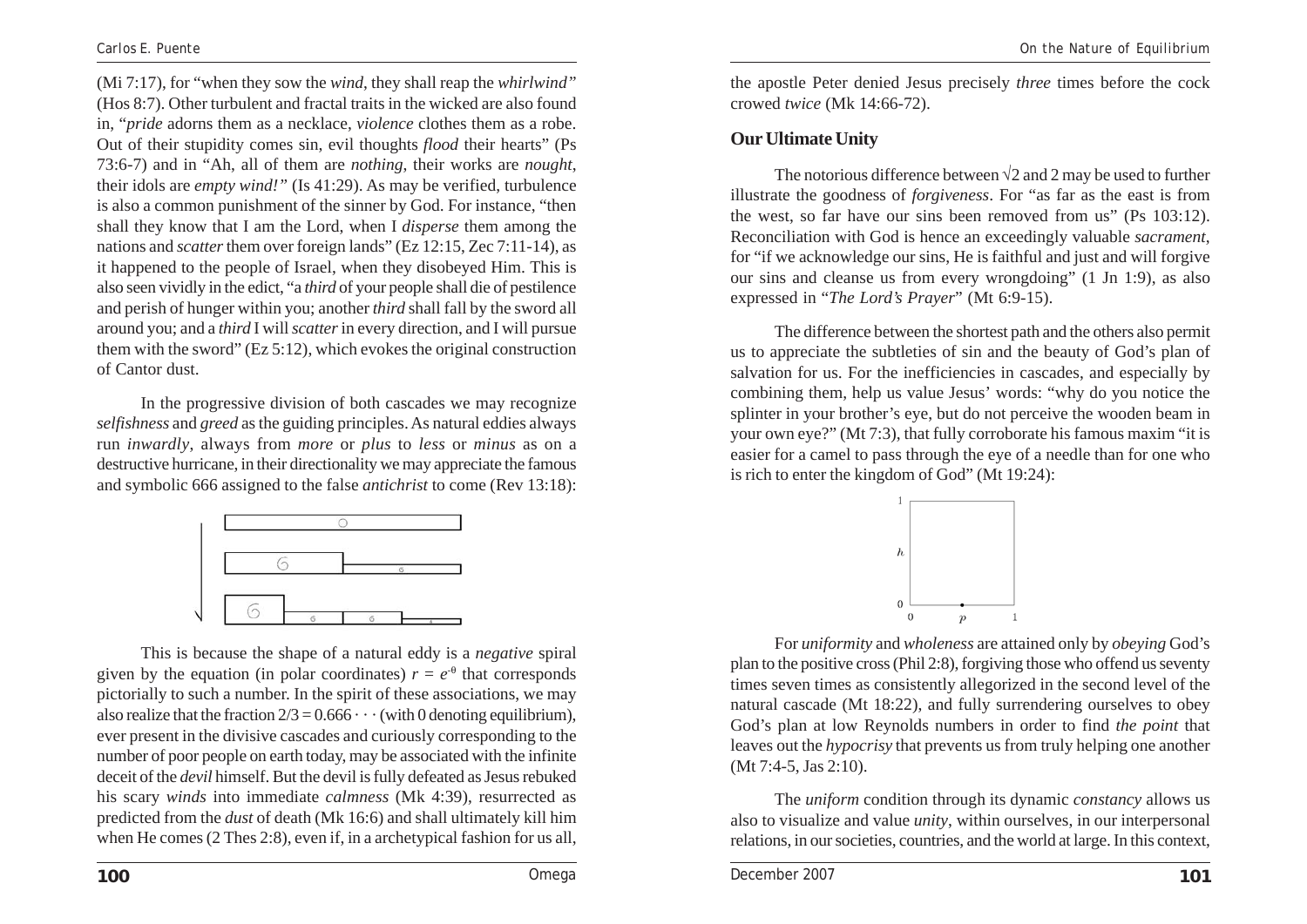(Mi 7:17), for "when they sow the *wind*, they shall reap the *whirlwind"* (Hos 8:7). Other turbulent and fractal traits in the wicked are also found in, "*pride* adorns them as a necklace, *violence* clothes them as a robe. Out of their stupidity comes sin, evil thoughts *flood* their hearts" (Ps 73:6-7) and in "Ah, all of them are *nothing*, their works are *nought*, their idols are *empty wind!"* (Is 41:29). As may be verified, turbulence is also a common punishment of the sinner by God. For instance, "then shall they know that I am the Lord, when I *disperse* them among the nations and *scatter* them over foreign lands" (Ez 12:15, Zec 7:11-14), as it happened to the people of Israel, when they disobeyed Him. This is also seen vividly in the edict, "a *third* of your people shall die of pestilence and perish of hunger within you; another *third* shall fall by the sword all around you; and a *third* I will *scatter* in every direction, and I will pursue them with the sword" (Ez 5:12), which evokes the original construction of Cantor dust.

In the progressive division of both cascades we may recognize *selfishness* and *greed* as the guiding principles. As natural eddies always run *inwardly*, always from *more* or *plus* to *less* or *minus* as on a destructive hurricane, in their directionality we may appreciate the famous and symbolic 666 assigned to the false *antichrist* to come (Rev 13:18):



This is because the shape of a natural eddy is a *negative* spiral given by the equation (in polar coordinates)  $r = e^{-\theta}$  that corresponds pictorially to such a number. In the spirit of these associations, we may also realize that the fraction  $2/3 = 0.666 \cdots$  (with 0 denoting equilibrium). ever present in the divisive cascades and curiously corresponding to the number of poor people on earth today, may be associated with the infinite deceit of the *devil* himself. But the devil is fully defeated as Jesus rebuked his scary *winds* into immediate *calmness* (Mk 4:39), resurrected as predicted from the *dust* of death (Mk 16:6) and shall ultimately kill him when He comes (2 Thes 2:8), even if, in a archetypical fashion for us all,

the apostle Peter denied Jesus precisely *three* times before the cock crowed *twice* (Mk 14:66-72).

#### **Our Ultimate Unity**

The notorious difference between  $\sqrt{2}$  and 2 may be used to further illustrate the goodness of *forgiveness*. For "as far as the east is from the west, so far have our sins been removed from us" (Ps 103:12). Reconciliation with God is hence an exceedingly valuable *sacrament*, for "if we acknowledge our sins, He is faithful and just and will forgive our sins and cleanse us from every wrongdoing" (1 Jn 1:9), as also expressed in "*The Lord's Prayer*" (Mt 6:9-15).

The difference between the shortest path and the others also permit us to appreciate the subtleties of sin and the beauty of God's plan of salvation for us. For the inefficiencies in cascades, and especially by combining them, help us value Jesus' words: "why do you notice the splinter in your brother's eye, but do not perceive the wooden beam in your own eye?" (Mt 7:3), that fully corroborate his famous maxim "it is easier for a camel to pass through the eye of a needle than for one who is rich to enter the kingdom of God" (Mt 19:24):



For *uniformity* and *wholeness* are attained only by *obeying* God's plan to the positive cross(Phil 2:8), forgiving those who offend us seventy times seven times as consistently allegorized in the second level of the natural cascade (Mt 18:22), and fully surrendering ourselves to obey God's plan at low Reynolds numbers in order to find *the point* that leaves out the *hypocrisy* that prevents us from truly helping one another (Mt 7:4-5, Jas 2:10).

The *uniform* condition through its dynamic *constancy* allows us also to visualize and value *unity*, within ourselves, in our interpersonal relations, in our societies, countries, and the world at large. In this context,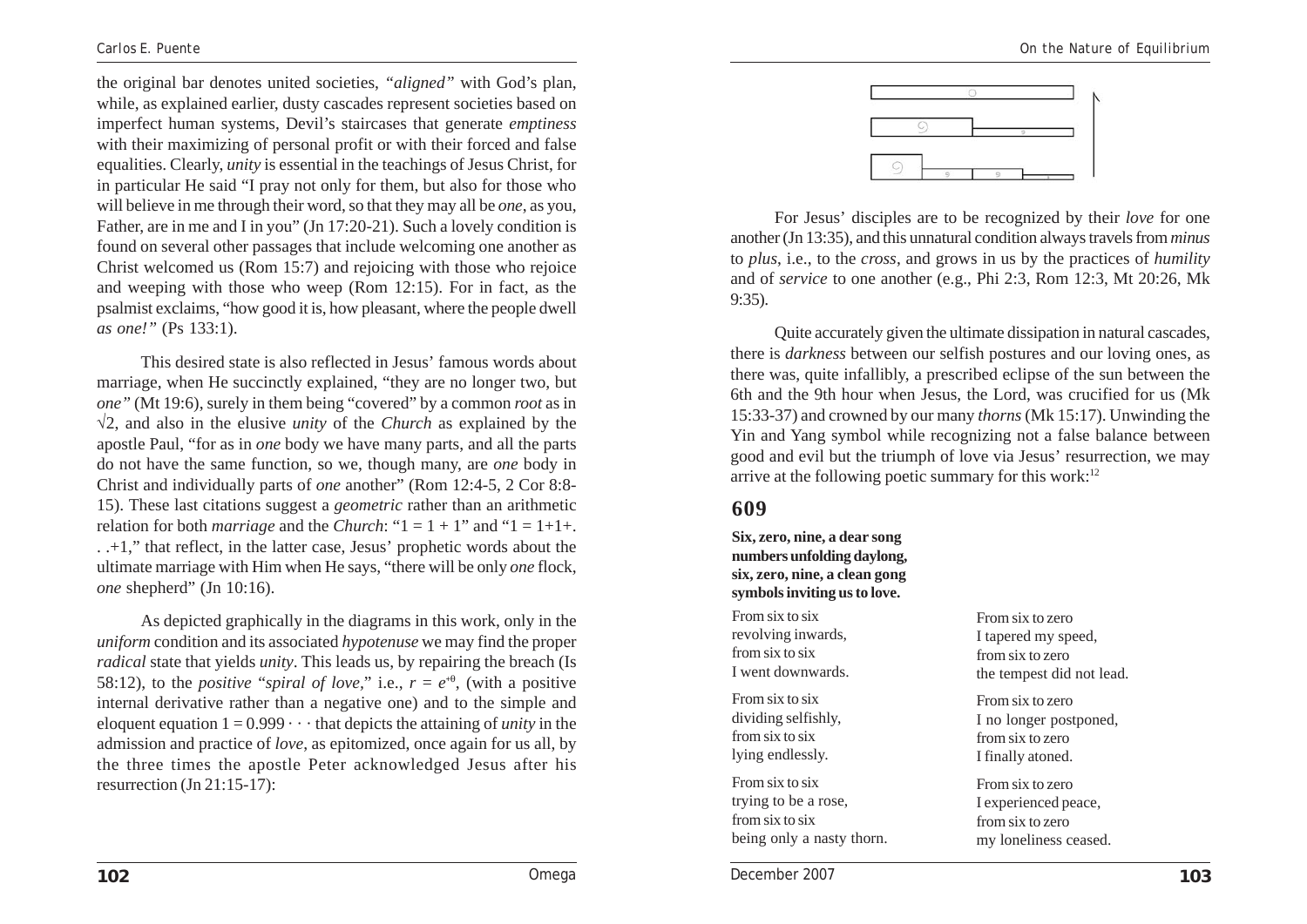the original bar denotes united societies, *"aligned"* with God's plan, while, as explained earlier, dusty cascades represent societies based on imperfect human systems, Devil's staircases that generate *emptiness* with their maximizing of personal profit or with their forced and false equalities. Clearly, *unity* is essential in the teachings of Jesus Christ, for in particular He said "I pray not only for them, but also for those who will believe in me through their word, so that they may all be *one*, as you, Father, are in me and I in you" (Jn 17:20-21). Such a lovely condition is found on several other passages that include welcoming one another as Christ welcomed us (Rom 15:7) and rejoicing with those who rejoice and weeping with those who weep (Rom 12:15). For in fact, as the psalmist exclaims, "how good it is, how pleasant, where the people dwell *as one!"* (Ps 133:1).

This desired state is also reflected in Jesus' famous words about marriage, when He succinctly explained, "they are no longer two, but *one"* (Mt 19:6), surely in them being "covered" by a common *root* as in √2, and also in the elusive *unity* of the *Church* as explained by the apostle Paul, "for as in *one* body we have many parts, and all the parts do not have the same function, so we, though many, are *one* body in Christ and individually parts of *one* another" (Rom 12:4-5, 2 Cor 8:8- 15). These last citations suggest a *geometric* rather than an arithmetic relation for both *marriage* and the *Church*: " $1 = 1 + 1$ " and " $1 = 1+1+$ . . .+1," that reflect, in the latter case, Jesus' prophetic words about the ultimate marriage with Him when He says, "there will be only *one* flock, *one* shepherd" (Jn 10:16).

As depicted graphically in the diagrams in this work, only in the *uniform* condition and its associated *hypotenuse* we may find the proper *radical* state that yields *unity*. This leads us, by repairing the breach (Is 58:12), to the *positive "spiral of love*," i.e.,  $r = e^{i\theta}$ , (with a positive internal derivative rather than a negative one) and to the simple and eloquent equation  $1 = 0.999 \cdots$  that depicts the attaining of *unity* in the admission and practice of *love*, as epitomized, once again for us all, by the three times the apostle Peter acknowledged Jesus after his resurrection (Jn 21:15-17):



For Jesus' disciples are to be recognized by their *love* for one another (Jn 13:35), and this unnatural condition always travels from *minus* to *plus*, i.e., to the *cross*, and grows in us by the practices of *humility* and of *service* to one another (e.g., Phi 2:3, Rom 12:3, Mt 20:26, Mk 9:35).

Quite accurately given the ultimate dissipation in natural cascades, there is *darkness* between our selfish postures and our loving ones, as there was, quite infallibly, a prescribed eclipse of the sun between the 6th and the 9th hour when Jesus, the Lord, was crucified for us (Mk 15:33-37) and crowned by our many *thorns* (Mk 15:17). Unwinding the Yin and Yang symbol while recognizing not a false balance between good and evil but the triumph of love via Jesus' resurrection, we may arrive at the following poetic summary for this work: $12$ 

#### **609**

**Six, zero, nine, a dear song numbers unfolding daylong, six, zero, nine, a clean gong symbols inviting us to love.**

From six to six revolving inwards, from six to six I went downwards.

From six to six dividing selfishly, from six to six lying endlessly.

From six to six trying to be a rose, from six to six being only a nasty thorn.

From six to zero I tapered my speed, from six to zero the tempest did not lead.

From six to zero I no longer postponed, from six to zero I finally atoned.

From six to zero I experienced peace, from six to zero my loneliness ceased.

**102** *Omega December 2007* **103**